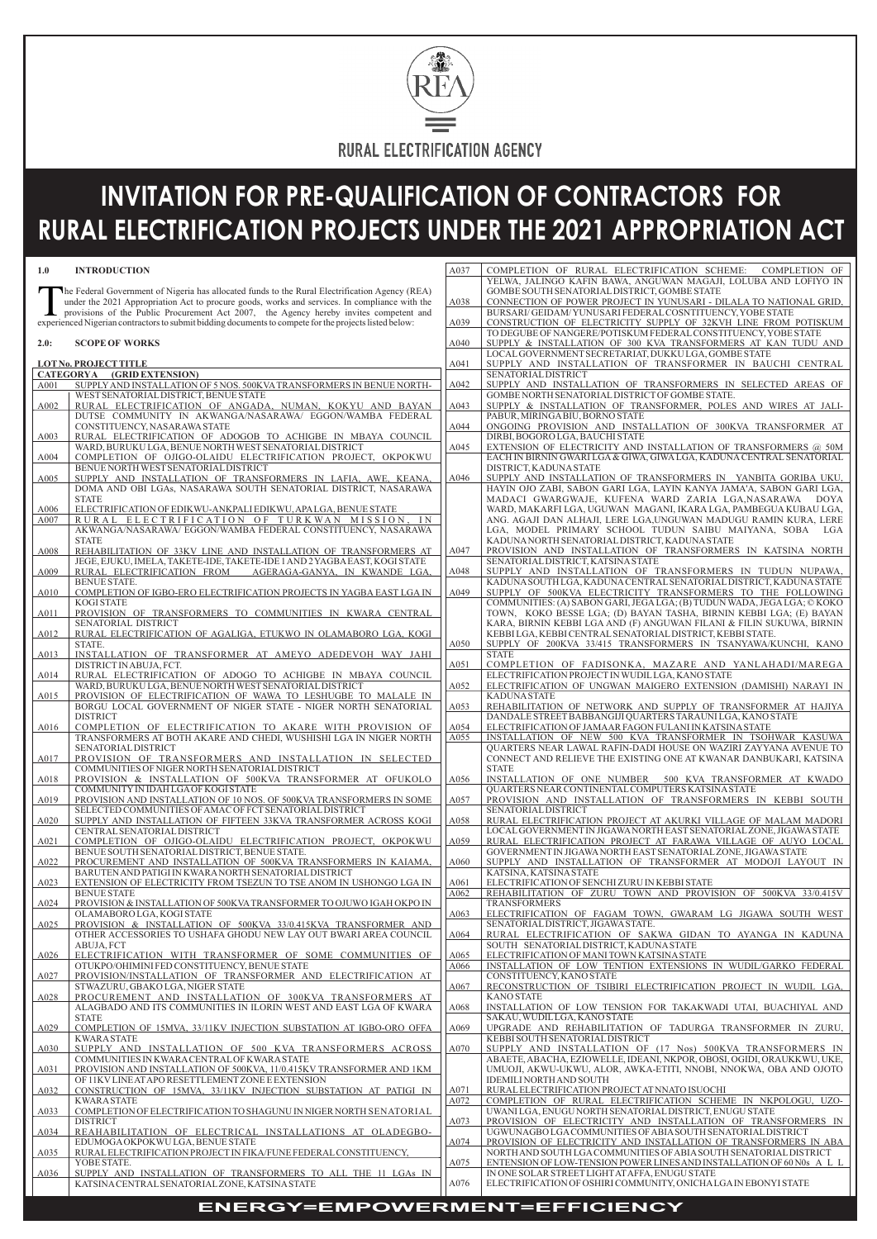## **ENERGY=EMPOWERMENT=EFFICIENCY**



# **INVITATION FOR PRE-QUALIFICATION OF CONTRACTORS FOR RURAL ELECTRIFICATION PROJECTS UNDER THE 2021 APPROPRIATION ACT**

The Federal Government of Nigeria has allocated funds to the Rural Electrification Agency (R under the 2021 Appropriation Act to procure goods, works and services. In compliance with provisions of the Public Procurement Ac he Federal Government of Nigeria has allocated funds to the Rural Electrification Agency (REA) under the 2021 Appropriation Act to procure goods, works and services. In compliance with the provisions of the Public Procurement Act 2007, the Agency hereby invites competent and

#### **2.0: SCOPE OF WORKS**

#### **1.0 INTRODUCTION**

|      | <b>LOTNo. PROJECTTITLE</b>                                                                                                      |  |
|------|---------------------------------------------------------------------------------------------------------------------------------|--|
|      | CATEGORYA (GRID EXTENSION)                                                                                                      |  |
| A001 | SUPPLY AND INSTALLATION OF 5 NOS. 500KVA TRANSFORMERS IN BENUE NORTH-                                                           |  |
|      | WEST SENATORIAL DISTRICT, BENUE STATE                                                                                           |  |
| A002 | RURAL ELECTRIFICATION OF ANGADA, NUMAN, KOKYU AND BAYAN                                                                         |  |
|      | DUTSE COMMUNITY IN AKWANGA/NASARAWA/ EGGON/WAMBA FEDERAL                                                                        |  |
|      | CONSTITUENCY, NASARAWA STATE                                                                                                    |  |
| A003 | RURAL ELECTRIFICATION OF ADOGOB TO ACHIGBE IN MBAYA COUNCIL                                                                     |  |
|      | WARD, BURUKU LGA, BENUE NORTH WEST SENATORIAL DISTRICT                                                                          |  |
| A004 | COMPLETION OF OJIGO-OLAIDU ELECTRIFICATION PROJECT, OKPOKWU<br>BENUE NORTH WEST SENATORIAL DISTRICT                             |  |
| A005 | SUPPLY AND INSTALLATION OF TRANSFORMERS IN LAFIA, AWE, KEANA,                                                                   |  |
|      | DOMA AND OBI LGAs, NASARAWA SOUTH SENATORIAL DISTRICT, NASARAWA                                                                 |  |
|      | <b>STATE</b>                                                                                                                    |  |
| A006 | ELECTRIFICATION OF EDIKWU-ANKPALI EDIKWU, APALGA, BENUE STATE                                                                   |  |
| A007 | RURAL ELECTRIFICATION OF TURKWAN MISSION, IN                                                                                    |  |
|      | AKWANGA/NASARAWA/EGGON/WAMBA FEDERAL CONSTITUENCY, NASARAWA                                                                     |  |
|      | <b>STATE</b>                                                                                                                    |  |
| A008 | REHABILITATION OF 33KV LINE AND INSTALLATION OF TRANSFORMERS AT                                                                 |  |
|      | JEGE, EJUKU, IMELA, TAKETE-IDE, TAKETE-IDE 1 AND 2 YAGBA EAST, KOGI STATE                                                       |  |
| A009 | RURAL ELECTRIFICATION FROM AGERAGA-GANYA, IN KWANDE LGA,                                                                        |  |
|      | <b>BENUE STATE.</b>                                                                                                             |  |
| A010 | COMPLETION OF IGBO-ERO ELECTRIFICATION PROJECTS IN YAGBA EAST LGA IN                                                            |  |
|      | <b>KOGI STATE</b>                                                                                                               |  |
| A011 | PROVISION OF TRANSFORMERS TO COMMUNITIES IN KWARA CENTRAL                                                                       |  |
|      | SENATORIAL DISTRICT                                                                                                             |  |
| A012 | RURAL ELECTRIFICATION OF AGALIGA, ETUKWO IN OLAMABORO LGA, KOGI                                                                 |  |
|      | STATE.                                                                                                                          |  |
| A013 | INSTALLATION OF TRANSFORMER AT AMEYO ADEDEVOH WAY JAHI                                                                          |  |
|      | DISTRICT IN ABUJA, FCT.                                                                                                         |  |
| A014 | RURAL ELECTRIFICATION OF ADOGO TO ACHIGBE IN MBAYA COUNCIL                                                                      |  |
| A015 | WARD, BURUKU LGA, BENUE NORTH WEST SENATORIAL DISTRICT                                                                          |  |
|      | PROVISION OF ELECTRIFICATION OF WAWA TO LESHUGBE TO MALALE IN<br>BORGU LOCAL GOVERNMENT OF NIGER STATE - NIGER NORTH SENATORIAL |  |
|      | <b>DISTRICT</b>                                                                                                                 |  |
| A016 | COMPLETION OF ELECTRIFICATION TO AKARE WITH PROVISION OF                                                                        |  |
|      | TRANSFORMERS AT BOTH AKARE AND CHEDI, WUSHISHI LGA IN NIGER NORTH                                                               |  |
|      | SENATORIAL DISTRICT                                                                                                             |  |
| A017 | PROVISION OF TRANSFORMERS AND INSTALLATION IN SELECTED                                                                          |  |
|      | COMMUNITIES OF NIGER NORTH SENATORIAL DISTRICT                                                                                  |  |
| A018 | PROVISION & INSTALLATION OF 500KVA TRANSFORMER AT OFUKOLO                                                                       |  |
|      | COMMUNITY IN IDAH LGA OF KOGI STATE                                                                                             |  |
| A019 | PROVISION AND INSTALLATION OF 10 NOS. OF 500KVA TRANSFORMERS IN SOME                                                            |  |
|      | SELECTED COMMUNITIES OF AMAC OF FCT SENATORIAL DISTRICT                                                                         |  |
| A020 | SUPPLY AND INSTALLATION OF FIFTEEN 33KVA TRANSFORMER ACROSS KOGI                                                                |  |
|      | CENTRAL SENATORIAL DISTRICT                                                                                                     |  |
| A021 | COMPLETION OF OJIGO-OLAIDU ELECTRIFICATION PROJECT, OKPOKWU                                                                     |  |
|      | BENUE SOUTH SENATORIAL DISTRICT, BENUE STATE.                                                                                   |  |
| A022 | PROCUREMENT AND INSTALLATION OF 500KVA TRANSFORMERS IN KAIAMA,                                                                  |  |
|      | BARUTEN AND PATIGI IN KWARA NORTH SENATORIAL DISTRICT                                                                           |  |
| A023 | EXTENSION OF ELECTRICITY FROM TSEZUN TO TSE ANOM IN USHONGO LGA IN                                                              |  |
|      | <b>BENUE STATE</b>                                                                                                              |  |
| A024 | PROVISION & INSTALLATION OF 500KVA TRANSFORMER TO OJUWO IGAH OKPO IN<br>OLAMABORO LGA, KOGI STATE                               |  |
| A025 | PROVISION & INSTALLATION OF 500KVA 33/0.415KVA TRANSFORMER AND                                                                  |  |
|      | OTHER ACCESSORIES TO USHAFA GHODU NEW LAY OUT BWARI AREA COUNCIL                                                                |  |
|      |                                                                                                                                 |  |

|                  | ABUJA, FCT                                                           |      | SOUTH SENATORIAL DISTRICT, KADUNA STATE                                |
|------------------|----------------------------------------------------------------------|------|------------------------------------------------------------------------|
| A026             | ELECTRIFICATION WITH TRANSFORMER OF SOME COMMUNITIES OF              | A065 | ELECTRIFICATION OF MANITOWN KATSINA STATE                              |
|                  | OTUKPO/OHIMINI FED CONSTITUENCY, BENUE STATE                         | A066 | INSTALLATION OF LOW TENTION EXTENSIONS IN WUDIL/GARKO FEDERAL          |
| A027             | PROVISION/INSTALLATION OF TRANSFORMER AND ELECTRIFICATION AT         |      | CONSTITUENCY, KANO STATE                                               |
|                  | STWAZURU, GBAKO LGA, NIGER STATE                                     | A067 | RECONSTRUCTION OF TSIBIRI ELECTRIFICATION PROJECT IN WUDIL LGA,        |
| A028             | PROCUREMENT AND INSTALLATION OF 300KVA TRANSFORMERS AT               |      | <b>KANO STATE</b>                                                      |
|                  | ALAGBADO AND ITS COMMUNITIES IN ILORIN WEST AND EAST LGA OF KWARA    | A068 | INSTALLATION OF LOW TENSION FOR TAKAKWADI UTAI, BUACHIYAL AND          |
|                  | <b>STATE</b>                                                         |      | SAKAU, WUDILLGA, KANO STATE                                            |
| A029             | COMPLETION OF 15MVA, 33/11KV INJECTION SUBSTATION AT IGBO-ORO OFFA   | A069 | UPGRADE AND REHABILITATION OF TADURGA TRANSFORMER IN ZURU,             |
|                  | <b>KWARA STATE</b>                                                   |      | KEBBI SOUTH SENATORIAL DISTRICT                                        |
| A030             | SUPPLY AND INSTALLATION OF 500 KVA TRANSFORMERS ACROSS               | A070 | SUPPLY AND INSTALLATION OF (17 Nos) 500KVA TRANSFORMERS IN             |
|                  | COMMUNITIES IN KWARA CENTRAL OF KWARA STATE                          |      | ABAETE, ABACHA, EZIOWELLE, IDEANI, NKPOR, OBOSI, OGIDI, ORAUKKWU, UKE, |
| A031             | PROVISION AND INSTALLATION OF 500KVA, 11/0.415KV TRANSFORMER AND 1KM |      | UMUOJI, AKWU-UKWU, ALOR, AWKA-ETITI, NNOBI, NNOKWA, OBA AND OJOTO      |
|                  | OF 11KV LINE AT APO RESETTLEMENT ZONE E EXTENSION                    |      | IDEMILINORTH AND SOUTH                                                 |
| A032             | CONSTRUCTION OF 15MVA, 33/11KV INJECTION SUBSTATION AT PATIGI IN     | A071 | RURAL ELECTRIFICATION PROJECT AT NNATO ISUOCHI                         |
|                  | KWARA STATE                                                          | A072 | COMPLETION OF RURAL ELECTRIFICATION SCHEME IN NKPOLOGU, UZO-           |
| A033             | COMPLETION OF ELECTRIFICATION TO SHAGUNU IN NIGER NORTH SENATORIAL   |      | UWANI LGA, ENUGU NORTH SENATORIAL DISTRICT, ENUGU STATE                |
|                  | <b>DISTRICT</b>                                                      | A073 | PROVISION OF ELECTRICITY AND INSTALLATION OF TRANSFORMERS IN           |
| A <sub>034</sub> | REAHABILITATION OF ELECTRICAL INSTALLATIONS AT OLADEGBO-             |      | UGWUNAGBO LGA COMMUNITIES OF ABIA SOUTH SENATORIAL DISTRICT            |
|                  | EDUMOGA OKPOKWU LGA, BENUE STATE                                     | A074 | PROVISION OF ELECTRICITY AND INSTALLATION OF TRANSFORMERS IN ABA       |
| A035             | RURAL ELECTRIFICATION PROJECT IN FIKA/FUNE FEDERAL CONSTITUENCY.     |      | NORTH AND SOUTH LGA COMMUNITIES OF ABIA SOUTH SENATORIAL DISTRICT      |
|                  | YOBE STATE.                                                          | A075 | ENTENSION OF LOW-TENSION POWER LINES AND INSTALLATION OF 60 N0s A L L  |
| A036             | SUPPLY AND INSTALLATION OF TRANSFORMERS TO ALL THE 11 LGAs IN        |      | IN ONE SOLAR STREET LIGHT AT AFFA, ENUGU STATE                         |
|                  | KATSINA CENTRAL SENATORIAL ZONE, KATSINA STATE                       | A076 | ELECTRIFICATION OF OSHIRI COMMUNITY, ONICHA LGA IN EBONYI STATE        |

| A037 | COMPLETION OF RURAL ELECTRIFICATION SCHEME: COMPLETION OF             |
|------|-----------------------------------------------------------------------|
|      | YELWA, JALINGO KAFIN BAWA, ANGUWAN MAGAJI, LOLUBA AND LOFIYO IN       |
|      | GOMBE SOUTH SENATORIAL DISTRICT, GOMBE STATE                          |
|      |                                                                       |
| A038 | CONNECTION OF POWER PROJECT IN YUNUSARI - DILALA TO NATIONAL GRID,    |
|      | BURSARI/GEIDAM/YUNUSARI FEDERAL COSNTITUENCY, YOBE STATE              |
| A039 | CONSTRUCTION OF ELECTRICITY SUPPLY OF 32KVH LINE FROM POTISKUM        |
|      | TO DEGUBE OF NANGERE/POTISKUM FEDERAL CONSTITUENCY, YOBE STATE        |
| A040 | SUPPLY & INSTALLATION OF 300 KVA TRANSFORMERS AT KAN TUDU AND         |
|      | LOCAL GOVERNMENT SECRETARIAT, DUKKU LGA, GOMBE STATE                  |
| A041 | SUPPLY AND INSTALLATION OF TRANSFORMER IN BAUCHI CENTRAL              |
|      | SENATORIAL DISTRICT                                                   |
|      |                                                                       |
| A042 | SUPPLY AND INSTALLATION OF TRANSFORMERS IN SELECTED AREAS OF          |
|      | GOMBE NORTH SENATORIAL DISTRICT OF GOMBE STATE.                       |
| A043 | SUPPLY & INSTALLATION OF TRANSFORMER, POLES AND WIRES AT JALI-        |
|      | PABUR, MIRINGA BIU, BORNO STATE                                       |
| A044 | ONGOING PROVISION AND INSTALLATION OF 300KVA TRANSFORMER AT           |
|      | DIRBI, BOGORO LGA, BAUCHI STATE                                       |
| A045 | EXTENSION OF ELECTRICITY AND INSTALLATION OF TRANSFORMERS @ 50M       |
|      | EACH IN BIRNIN GWARI LGA & GIWA, GIWA LGA, KADUNA CENTRAL SENATORIAL  |
|      | DISTRICT, KADUNA STATE                                                |
| A046 | SUPPLY AND INSTALLATION OF TRANSFORMERS IN YANBITA GORIBA UKU,        |
|      | HAYIN OJO ZABI, SABON GARI LGA, LAYIN KANYA JAMA'A, SABON GARI LGA,   |
|      |                                                                       |
|      | MADACI GWARGWAJE, KUFENA WARD ZARIA LGA,NASARAWA<br><b>DOYA</b>       |
|      | WARD, MAKARFI LGA, UGUWAN MAGANI, IKARA LGA, PAMBEGUA KUBAU LGA,      |
|      | ANG. AGAJI DAN ALHAJI, LERE LGA, UNGUWAN MADUGU RAMIN KURA, LERE      |
|      | LGA, MODEL PRIMARY SCHOOL TUDUN SAIBU MAIYANA, SOBA<br>LGA            |
|      | KADUNA NORTH SENATORIAL DISTRICT, KADUNA STATE                        |
| A047 | PROVISION AND INSTALLATION OF TRANSFORMERS IN KATSINA NORTH           |
|      | SENATORIAL DISTRICT, KATSINA STATE                                    |
| A048 | SUPPLY AND INSTALLATION OF TRANSFORMERS IN TUDUN NUPAWA,              |
|      | KADUNA SOUTH LGA, KADUNA CENTRAL SENATORIAL DISTRICT, KADUNA STATE    |
| A049 | SUPPLY OF 500KVA ELECTRICITY TRANSFORMERS TO THE FOLLOWING            |
|      | COMMUNITIES: (A) SABON GARI, JEGALGA; (B) TUDUN WADA, JEGALGA; © KOKO |
|      | TOWN, KOKO BESSE LGA; (D) BAYAN TASHA, BIRNIN KEBBI LGA; (E) BAYAN    |
|      | KARA, BIRNIN KEBBI LGA AND (F) ANGUWAN FILANI & FILIN SUKUWA, BIRNIN  |
|      |                                                                       |
|      | KEBBILGA, KEBBI CENTRAL SENATORIAL DISTRICT, KEBBI STATE.             |
| A050 | SUPPLY OF 200KVA 33/415 TRANSFORMERS IN TSANYAWA/KUNCHI, KANO         |
|      | <b>STATE</b>                                                          |
| A051 | COMPLETION OF FADISONKA, MAZARE AND YANLAHADI/MAREGA                  |
|      | ELECTRIFICATION PROJECT IN WUDILLGA, KANO STATE                       |
| A052 | ELECTRIFICATION OF UNGWAN MAIGERO EXTENSION (DAMISHI) NARAYI IN       |
|      | <b>KADUNA STATE</b>                                                   |
| A053 | REHABILITATION OF NETWORK AND SUPPLY OF TRANSFORMER AT HAJIYA         |
|      | DANDALE STREET BABBANGIJI QUARTERS TARAUNI LGA, KANO STATE            |
| A054 | ELECTRIFICATION OF JAMAAR FAGON FULANI IN KATSINA STATE               |
| A055 | INSTALLATION OF NEW 500 KVA TRANSFORMER IN TSOHWAR KASUWA             |
|      | QUARTERS NEAR LAWAL RAFIN-DADI HOUSE ON WAZIRI ZAYYANA AVENUE TO      |
|      | CONNECT AND RELIEVE THE EXISTING ONE AT KWANAR DANBUKARI, KATSINA     |
|      | <b>STATE</b>                                                          |
| A056 | INSTALLATION OF ONE NUMBER 500 KVA TRANSFORMER AT KWADO               |
|      | OUARTERS NEAR CONTINENTAL COMPUTERS KATSINA STATE                     |
|      | PROVISION AND INSTALLATION OF TRANSFORMERS IN KEBBI SOUTH             |
| A057 |                                                                       |
|      | SENATORIAL DISTRICT                                                   |
| A058 | RURAL ELECTRIFICATION PROJECT AT AKURKI VILLAGE OF MALAM MADORI       |
|      | LOCAL GOVERNMENT IN JIGAWA NORTH EAST SENATORIAL ZONE, JIGAWA STATE   |
| A059 | RURAL ELECTRIFICATION PROJECT AT FARAWA VILLAGE OF AUYO LOCAL         |
|      | GOVERNMENT IN JIGAWA NORTH EAST SENATORIAL ZONE, JIGAWA STATE         |
| A060 | SUPPLY AND INSTALLATION OF TRANSFORMER AT MODOJI LAYOUT IN            |
|      | KATSINA, KATSINA STATE                                                |
| A061 | ELECTRIFICATION OF SENCHI ZURU IN KEBBI STATE                         |
| A062 | REHABILITATION OF ZURU TOWN AND PROVISION OF 500KVA 33/0.415V         |
|      | <b>TRANSFORMERS</b>                                                   |
| A063 | ELECTRIFICATION OF FAGAM TOWN, GWARAM LG JIGAWA SOUTH WEST            |
|      | SENATORIAL DISTRICT, JIGAWA STATE.                                    |
| A064 | RURAL ELECTRIFICATION OF SAKWA GIDAN TO AYANGA IN KADUNA              |
|      |                                                                       |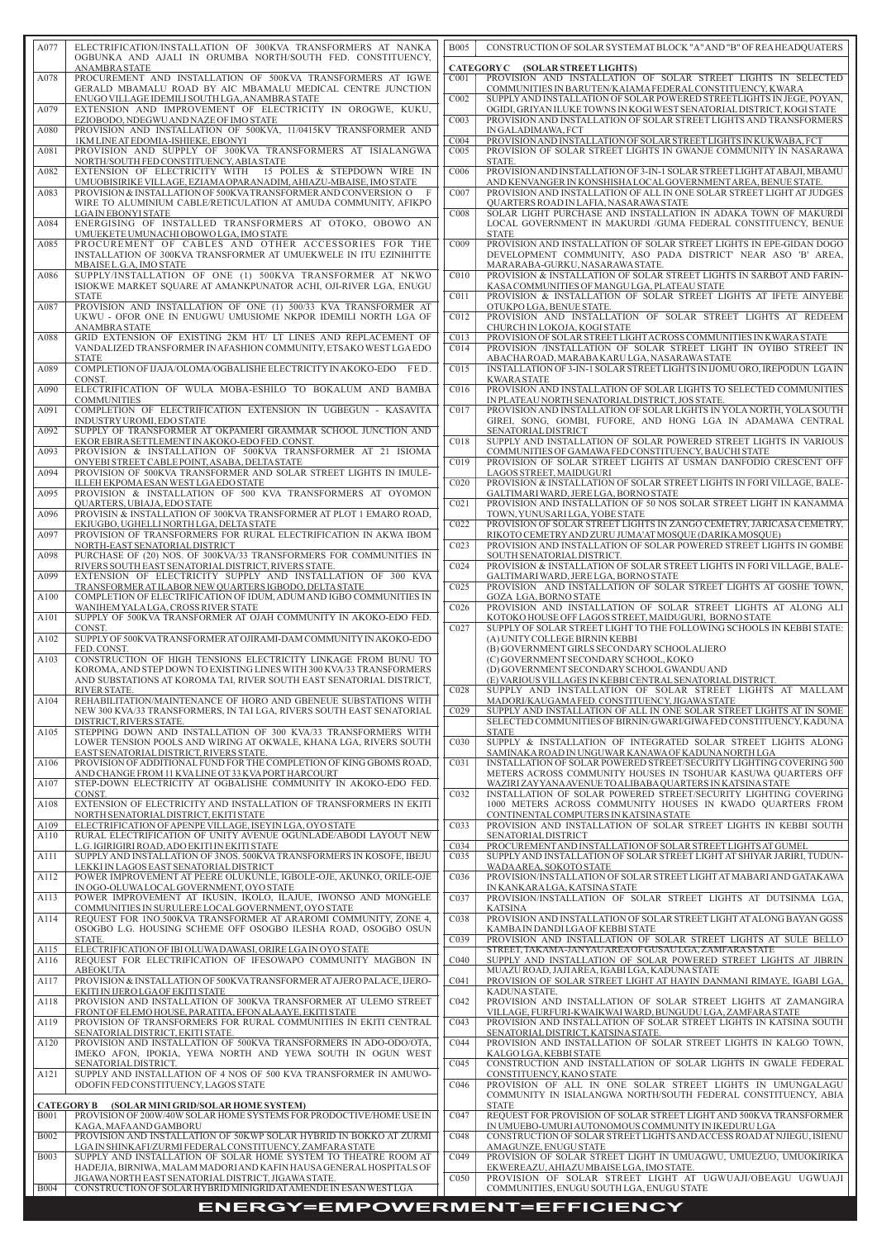# **ENERGY=EMPOWERMENT=EFFICIENCY**

| A077         | ELECTRIFICATION/INSTALLATION OF 300KVA TRANSFORMERS AT NANKA<br>OGBUNKA AND AJALI IN ORUMBA NORTH/SOUTH FED. CONSTITUENCY,                   | <b>B005</b>                          | CONSTRUCTION OF SOLAR SYSTEM AT BLOCK "A" AND "B" OF REA HEADQUATERS                                                                            |
|--------------|----------------------------------------------------------------------------------------------------------------------------------------------|--------------------------------------|-------------------------------------------------------------------------------------------------------------------------------------------------|
|              | <b>ANAMBRASTATE</b>                                                                                                                          |                                      | CATEGORY C (SOLAR STREET LIGHTS)                                                                                                                |
| A078         | PROCUREMENT AND INSTALLATION OF 500KVA TRANSFORMERS AT IGWE<br>GERALD MBAMALU ROAD BY AIC MBAMALU MEDICAL CENTRE JUNCTION                    | C <sub>001</sub>                     | PROVISION AND INSTALLATION OF SOLAR STREET LIGHTS IN SELECTED<br>COMMUNITIES IN BARUTEN/KAIAMA FEDERAL CONSTITUENCY, KWARA                      |
| A079         | ENUGO VILLAGE IDEMILI SOUTH LGA, ANAMBRA STATE<br>EXTENSION AND IMPROVEMENT OF ELECTRICITY IN OROGWE, KUKU,                                  | C <sub>002</sub>                     | SUPPLY AND INSTALLATION OF SOLAR POWERED STREETLIGHTS IN JEGE, POYAN,<br>OGIDI, GRIYAN ILUKE TOWNS IN KOGI WEST SENATORIAL DISTRICT, KOGI STATE |
| A080         | EZIOBODO, NDEGWU AND NAZE OF IMO STATE<br>PROVISION AND INSTALLATION OF 500KVA, 11/0415KV TRANSFORMER AND                                    | CO <sub>03</sub>                     | PROVISION AND INSTALLATION OF SOLAR STREET LIGHTS AND TRANSFORMERS<br>IN GALADIMAWA, FCT                                                        |
| A081         | 1KM LINE AT EDOMIA-ISHIEKE, EBONYI<br>PROVISION AND SUPPLY OF 300KVA TRANSFORMERS AT ISIALANGWA                                              | CO <sub>04</sub><br>C <sub>005</sub> | PROVISION AND INSTALLATION OF SOLAR STREET LIGHTS IN KUKWABA, FCT<br>PROVISION OF SOLAR STREET LIGHTS IN GWANJE COMMUNITY IN NASARAWA           |
|              | NORTH/SOUTH FED CONSTITUENCY, ABIA STATE                                                                                                     |                                      | STATE.                                                                                                                                          |
| A082         | EXTENSION OF ELECTRICITY WITH 15 POLES & STEPDOWN WIRE IN<br>UMUOBISIRIKE VILLAGE, EZIAMA OPARANADIM, AHIAZU-MBAISE, IMO STATE               | C <sub>006</sub>                     | PROVISION AND INSTALLATION OF 3-IN-1 SOLAR STREET LIGHT AT ABAJI, MBAMU<br>AND KENVANGER IN KONSHISHALOCAL GOVERNMENT AREA, BENUE STATE.        |
| A083         | PROVISION & INSTALLATION OF 500KVA TRANSFORMER AND CONVERSION O<br>-F<br>WIRE TO ALUMINIUM CABLE/RETICULATION AT AMUDA COMMUNITY, AFIKPO     | C <sub>007</sub>                     | PROVISION AND INSTALLATION OF ALL IN ONE SOLAR STREET LIGHT AT JUDGES<br><b>OUARTERS ROAD IN LAFIA, NASARAWA STATE</b>                          |
| A084         | <b>LGAIN EBONYI STATE</b><br>ENERGISING OF INSTALLED TRANSFORMERS AT OTOKO, OBOWO AN                                                         | C <sub>008</sub>                     | SOLAR LIGHT PURCHASE AND INSTALLATION IN ADAKA TOWN OF MAKURDI<br>LOCAL GOVERNMENT IN MAKURDI /GUMA FEDERAL CONSTITUENCY, BENUE                 |
| A085         | UMUEKETE UMUNACHI OBOWO LGA, IMO STATE<br>PROCUREMENT OF CABLES AND OTHER ACCESSORIES FOR THE                                                | C <sub>009</sub>                     | <b>STATE</b><br>PROVISION AND INSTALLATION OF SOLAR STREET LIGHTS IN EPE-GIDAN DOGO                                                             |
|              | INSTALLATION OF 300KVA TRANSFORMER AT UMUEKWELE IN ITU EZINIHITTE                                                                            |                                      | DEVELOPMENT COMMUNITY, ASO PADA DISTRICT' NEAR ASO 'B' AREA,                                                                                    |
| A086         | MBAISE L.G.A, IMO STATE<br>SUPPLY/INSTALLATION OF ONE (1) 500KVA TRANSFORMER AT NKWO                                                         | C <sub>010</sub>                     | MARARABA-GURKU, NASARAWA STATE.<br>PROVISION & INSTALLATION OF SOLAR STREET LIGHTS IN SARBOT AND FARIN-                                         |
|              | ISIOKWE MARKET SQUARE AT AMANKPUNATOR ACHI, OJI-RIVER LGA, ENUGU<br><b>STATE</b>                                                             | C <sub>011</sub>                     | KASA COMMUNITIES OF MANGU LGA, PLATEAU STATE<br>PROVISION & INSTALLATION OF SOLAR STREET LIGHTS AT IFETE AINYEBE                                |
| A087         | PROVISION AND INSTALLATION OF ONE (1) 500/33 KVA TRANSFORMER AT<br>UKWU - OFOR ONE IN ENUGWU UMUSIOME NKPOR IDEMILI NORTH LGA OF             | C <sub>012</sub>                     | OTUKPOLGA, BENUE STATE.<br>PROVISION AND INSTALLATION OF SOLAR STREET LIGHTS AT REDEEM                                                          |
| A088         | <b>ANAMBRA STATE</b><br>GRID EXTENSION OF EXISTING 2KM HT/ LT LINES AND REPLACEMENT OF                                                       | C013                                 | CHURCH IN LOKOJA, KOGI STATE<br>PROVISION OF SOLAR STREET LIGHT ACROSS COMMUNITIES IN KWARA STATE                                               |
|              | VANDALIZED TRANSFORMER IN AFASHION COMMUNITY, ETSAKO WEST LGA EDO<br><b>STATE</b>                                                            | CO <sub>14</sub>                     | PROVISION /INSTALLATION OF SOLAR STREET LIGHT IN OYIBO STREET IN<br>ABACHAROAD, MARABAKARULGA, NASARAWA STATE                                   |
| A089         | COMPLETION OF IJAJA/OLOMA/OGBALISHE ELECTRICITY IN AKOKO-EDO FED                                                                             | CO15                                 | INSTALLATION OF 3-IN-1 SOLAR STREET LIGHTS IN IJOMU ORO, IREPODUN LGAIN                                                                         |
| A090         | CONST.<br>ELECTRIFICATION OF WULA MOBA-ESHILO TO BOKALUM AND BAMBA                                                                           | C <sub>016</sub>                     | <b>KWARA STATE</b><br>PROVISION AND INSTALLATION OF SOLAR LIGHTS TO SELECTED COMMUNITIES                                                        |
| A091         | <b>COMMUNITIES</b><br>COMPLETION OF ELECTRIFICATION EXTENSION IN UGBEGUN - KASAVITA                                                          | C <sub>017</sub>                     | IN PLATEAU NORTH SENATORIAL DISTRICT, JOS STATE.<br>PROVISION AND INSTALLATION OF SOLAR LIGHTS IN YOLA NORTH, YOLA SOUTH                        |
| A092         | INDUSTRY UROMI, EDO STATE<br>SUPPLY OF TRANSFORMER AT OKPAMERI GRAMMAR SCHOOL JUNCTION AND                                                   |                                      | GIREI, SONG, GOMBI, FUFORE, AND HONG LGA IN ADAMAWA CENTRAL<br>SENATORIAL DISTRICT                                                              |
| A093         | EKOR EBIRA SETTLEMENT IN AKOKO-EDO FED. CONST.<br>PROVISION & INSTALLATION OF 500KVA TRANSFORMER AT 21 ISIOMA                                | C <sub>018</sub>                     | SUPPLY AND INSTALLATION OF SOLAR POWERED STREET LIGHTS IN VARIOUS<br>COMMUNITIES OF GAMAWA FED CONSTITUENCY, BAUCHI STATE                       |
| A094         | ONYEBI STREET CABLE POINT, ASABA, DELTA STATE<br>PROVISION OF 500KVA TRANSFORMER AND SOLAR STREET LIGHTS IN IMULE-                           | C <sub>019</sub>                     | PROVISION OF SOLAR STREET LIGHTS AT USMAN DANFODIO CRESCENT OFF<br>LAGOS STREET, MAIDUGURI                                                      |
| A095         | ILLEH EKPOMA ESAN WEST LGA EDO STATE<br>PROVISION & INSTALLATION OF 500 KVA TRANSFORMERS AT OYOMON                                           | C <sub>020</sub>                     | PROVISION & INSTALLATION OF SOLAR STREET LIGHTS IN FORI VILLAGE, BALE-<br>GALTIMARI WARD, JERE LGA, BORNO STATE                                 |
|              | QUARTERS, UBIAJA, EDO STATE                                                                                                                  | CO21                                 | PROVISION AND INSTALLATION OF 50 NOS SOLAR STREET LIGHT IN KANAMMA                                                                              |
| A096         | PROVISIN & INSTALLATION OF 300KVA TRANSFORMER AT PLOT 1 EMARO ROAD,<br>EKIUGBO, UGHELLI NORTH LGA, DELTA STATE                               | C <sub>022</sub>                     | TOWN, YUNUSARI LGA, YOBE STATE<br>PROVISION OF SOLAR STREET LIGHTS IN ZANGO CEMETRY, JARICASA CEMETRY,                                          |
| A097         | PROVISION OF TRANSFORMERS FOR RURAL ELECTRIFICATION IN AKWA IBOM<br>NORTH-EAST SENATORIAL DISTRICT                                           | C023                                 | RIKOTO CEMETRY AND ZURU JUMA'AT MOSOUE (DARIKA MOSOUE)<br>PROVISION AND INSTALLATION OF SOLAR POWERED STREET LIGHTS IN GOMBE                    |
| A098         | PURCHASE OF (20) NOS. OF 300KVA/33 TRANSFORMERS FOR COMMUNITIES IN<br>RIVERS SOUTH EAST SENATORIAL DISTRICT, RIVERS STATE.                   | CO <sub>24</sub>                     | SOUTH SENATORIAL DISTRICT.<br>PROVISION & INSTALLATION OF SOLAR STREET LIGHTS IN FORI VILLAGE, BALE-                                            |
| A099         | EXTENSION OF ELECTRICITY SUPPLY AND INSTALLATION OF 300 KVA<br>TRANSFORMER AT ILABOR NEW OUARTERS IGBODO, DELTA STATE                        | CO <sub>25</sub>                     | GALTIMARI WARD, JERE LGA, BORNO STATE<br>PROVISION AND INSTALLATION OF SOLAR STREET LIGHTS AT GOSHE TOWN,                                       |
| A100         | COMPLETION OF ELECTRIFICATION OF IDUM, ADUM AND IGBO COMMUNITIES IN                                                                          |                                      | <b>GOZA LGA, BORNO STATE</b><br>PROVISION AND INSTALLATION OF SOLAR STREET LIGHTS AT ALONG ALI                                                  |
| A101         | WANIHEM YALALGA, CROSS RIVER STATE<br>SUPPLY OF 500KVA TRANSFORMER AT OJAH COMMUNITY IN AKOKO-EDO FED.                                       | C <sub>026</sub>                     | KOTOKO HOUSE OFF LAGOS STREET, MAIDUGURI, BORNO STATE                                                                                           |
| A102         | CONST.<br>SUPPLY OF 500KVA TRANSFORMER AT OJIRAMI-DAM COMMUNITY IN AKOKO-EDO                                                                 | CO27                                 | SUPPLY OF SOLAR STREET LIGHT TO THE FOLLOWING SCHOOLS IN KEBBI STATE:<br>(A) UNITY COLLEGE BIRNIN KEBBI                                         |
| A103         | FED. CONST.<br>CONSTRUCTION OF HIGH TENSIONS ELECTRICITY LINKAGE FROM BUNU TO                                                                |                                      | (B) GOVERNMENT GIRLS SECONDARY SCHOOLALIERO<br>(C) GOVERNMENT SECONDARY SCHOOL, KOKO                                                            |
|              | KOROMA, AND STEP DOWN TO EXISTING LINES WITH 300 KVA/33 TRANSFORMERS<br>AND SUBSTATIONS AT KOROMA TAI, RIVER SOUTH EAST SENATORIAL DISTRICT, |                                      | (D) GOVERNMENT SECONDARY SCHOOL GWANDU AND<br>(E) VARIOUS VILLAGES IN KEBBI CENTRAL SENATORIAL DISTRICT.                                        |
| A104         | <b>RIVER STATE.</b><br>REHABILITATION/MAINTENANCE OF HORO AND GBENEUE SUBSTATIONS WITH                                                       | C <sub>028</sub>                     | SUPPLY AND INSTALLATION OF SOLAR STREET LIGHTS AT MALLAM<br>MADORI/KAUGAMAFED. CONSTITUENCY, JIGAWA STATE                                       |
|              | NEW 300 KVA/33 TRANSFORMERS, IN TAI LGA, RIVERS SOUTH EAST SENATORIAL<br>DISTRICT, RIVERS STATE.                                             | C <sub>029</sub>                     | SUPPLY AND INSTALLATION OF ALL IN ONE SOLAR STREET LIGHTS AT IN SOME<br>SELECTED COMMUNITIES OF BIRNIN/GWARI/GIWA FED CONSTITUENCY, KADUNA      |
| A105         | STEPPING DOWN AND INSTALLATION OF 300 KVA/33 TRANSFORMERS WITH                                                                               |                                      | <b>STATE</b>                                                                                                                                    |
|              | LOWER TENSION POOLS AND WIRING AT OKWALE, KHANA LGA, RIVERS SOUTH<br>EAST SENATORIAL DISTRICT, RIVERS STATE.                                 | CO <sub>30</sub>                     | SUPPLY & INSTALLATION OF INTEGRATED SOLAR STREET LIGHTS ALONG<br>SAMINAKA ROAD IN UNGUWAR KANAWA OF KADUNA NORTH LGA                            |
| A106         | PROVISION OF ADDITIONAL FUND FOR THE COMPLETION OF KING GBOMS ROAD,<br>AND CHANGE FROM 11 KVALINE OT 33 KVA PORT HARCOURT                    | CO <sub>31</sub>                     | INSTALLATION OF SOLAR POWERED STREET/SECURITY LIGHTING COVERING 500<br>METERS ACROSS COMMUNITY HOUSES IN TSOHUAR KASUWA QUARTERS OFF            |
| A107         | STEP-DOWN ELECTRICITY AT OGBALISHE COMMUNITY IN AKOKO-EDO FED.<br>CONST.                                                                     | CO <sub>32</sub>                     | WAZIRI ZAYYANA AVENUE TO ALIBABA QUARTERS IN KATSINA STATE<br>INSTALLATION OF SOLAR POWERED STREET/SECURITY LIGHTING COVERING                   |
| A108         | EXTENSION OF ELECTRICITY AND INSTALLATION OF TRANSFORMERS IN EKITI<br>NORTH SENATORIAL DISTRICT, EKITI STATE                                 |                                      | 1000 METERS ACROSS COMMUNITY HOUSES IN KWADO QUARTERS FROM<br>CONTINENTAL COMPUTERS IN KATSINA STATE                                            |
| A109<br>A110 | ELECTRIFICATION OF APENPE VILLAGE, ISEYIN LGA, OYO STATE<br>RURAL ELECTRIFICATION OF UNITY AVENUE OGUNLADE/ABODI LAYOUT NEW                  | CO <sub>33</sub>                     | PROVISION AND INSTALLATION OF SOLAR STREET LIGHTS IN KEBBI SOUTH<br>SENATORIAL DISTRICT                                                         |
|              | L.G. IGIRIGIRI ROAD, ADO EKITI IN EKITI STATE                                                                                                | C <sub>034</sub>                     | PROCUREMENT AND INSTALLATION OF SOLAR STREET LIGHTS AT GUMEL                                                                                    |
| A111         | SUPPLY AND INSTALLATION OF 3NOS. 500KVA TRANSFORMERS IN KOSOFE, IBEJU<br>LEKKI IN LAGOS EAST SENATORIAL DISTRICT                             | CO <sub>35</sub>                     | SUPPLY AND INSTALLATION OF SOLAR STREET LIGHT AT SHIYAR JARIRI, TUDUN-<br>WADAAREA, SOKOTO STATE                                                |
| A112         | POWER IMPROVEMENT AT PEERE OLUKUNLE, IGBOLE-OJE, AKUNKO, ORILE-OJE<br>IN OGO-OLUWA LOCAL GOVERNMENT, OYO STATE                               | C <sub>036</sub>                     | PROVISION/INSTALLATION OF SOLAR STREET LIGHT AT MABARI AND GATAKAWA<br>IN KANKARA LGA, KATSINA STATE                                            |
| A113         | POWER IMPROVEMENT AT IKUSIN, IKOLO, ILAJUE, IWONSO AND MONGELE<br>COMMUNITIES IN SURULERE LOCAL GOVERNMENT, OYO STATE                        | C <sub>0</sub> 37                    | PROVISION/INSTALLATION OF SOLAR STREET LIGHTS AT DUTSINMA LGA,<br><b>KATSINA</b>                                                                |
| A114         | REQUEST FOR 1NO.500KVA TRANSFORMER AT ARAROMI COMMUNITY, ZONE 4,<br>OSOGBO L.G. HOUSING SCHEME OFF OSOGBO ILESHA ROAD, OSOGBO OSUN           | C <sub>038</sub>                     | PROVISION AND INSTALLATION OF SOLAR STREET LIGHT AT ALONG BAYAN GGSS<br>KAMBA IN DANDI LGA OF KEBBI STATE                                       |
| A115         | STATE.<br>ELECTRIFICATION OF IBIOLUWA DAWASI, ORIRE LGA IN OYO STATE                                                                         | C <sub>039</sub>                     | PROVISION AND INSTALLATION OF SOLAR STREET LIGHTS AT SULE BELLO<br>STREET, TAKAMA-JANYAU AREA OF GUSAU LGA, ZAMFARA STATE                       |
| A116         | REQUEST FOR ELECTRIFICATION OF IFESOWAPO COMMUNITY MAGBON IN<br>ABEOKUTA                                                                     | C <sub>040</sub>                     | SUPPLY AND INSTALLATION OF SOLAR POWERED STREET LIGHTS AT JIBRIN<br>MUAZU ROAD, JAJI AREA, IGABI LGA, KADUNA STATE                              |
| A117         | PROVISION & INSTALLATION OF 500KVA TRANSFORMER AT AJERO PALACE, IJERO-                                                                       | C <sub>041</sub>                     | PROVISION OF SOLAR STREET LIGHT AT HAYIN DANMANI RIMAYE, IGABI LGA,                                                                             |
| A118         | EKITI IN IJERO LGA OF EKITI STATE<br>PROVISION AND INSTALLATION OF 300KVA TRANSFORMER AT ULEMO STREET                                        | C <sub>042</sub>                     | KADUNA STATE.<br>PROVISION AND INSTALLATION OF SOLAR STREET LIGHTS AT ZAMANGIRA                                                                 |
| A119         | FRONT OF ELEMO HOUSE, PARATITA, EFON ALAAYE, EKITI STATE<br>PROVISION OF TRANSFORMERS FOR RURAL COMMUNITIES IN EKITI CENTRAL                 | CO <sub>43</sub>                     | VILLAGE, FURFURI-KWAIKWAI WARD, BUNGUDU LGA, ZAMFARA STATE<br>PROVISION AND INSTALLATION OF SOLAR STREET LIGHTS IN KATSINA SOUTH                |
| A120         | SENATORIAL DISTRICT, EKITI STATE.<br>PROVISION AND INSTALLATION OF 500KVA TRANSFORMERS IN ADO-ODO/OTA,                                       | C044                                 | SENATORIAL DISTRICT, KATSINA STATE.<br>PROVISION AND INSTALLATION OF SOLAR STREET LIGHTS IN KALGO TOWN,                                         |
|              | IMEKO AFON, IPOKIA, YEWA NORTH AND YEWA SOUTH IN OGUN WEST<br>SENATORIAL DISTRICT.                                                           | C <sub>045</sub>                     | KALGO LGA, KEBBI STATE<br>CONSTRUCTION AND INSTALLATION OF SOLAR LIGHTS IN GWALE FEDERAL                                                        |
| A121         | SUPPLY AND INSTALLATION OF 4 NOS OF 500 KVA TRANSFORMER IN AMUWO-<br>ODOFIN FED CONSTITUENCY, LAGOS STATE                                    | C <sub>046</sub>                     | CONSTITUENCY, KANO STATE<br>PROVISION OF ALL IN ONE SOLAR STREET LIGHTS IN UMUNGALAGU                                                           |
|              | <b>CATEGORYB</b><br>(SOLAR MINI GRID/SOLAR HOME SYSTEM)                                                                                      |                                      | COMMUNITY IN ISIALANGWA NORTH/SOUTH FEDERAL CONSTITUENCY, ABIA<br><b>STATE</b>                                                                  |
| <b>B001</b>  | PROVISION OF 200W/40W SOLAR HOME SYSTEMS FOR PRODOCTIVE/HOME USE IN                                                                          | C047                                 | REQUEST FOR PROVISION OF SOLAR STREET LIGHT AND 500KVA TRANSFORMER                                                                              |
| <b>B002</b>  | KAGA, MAFA AND GAMBORU<br>PROVISION AND INSTALLATION OF 50KWP SOLAR HYBRID IN BOKKO AT ZURMI                                                 | C048                                 | IN UMUEBO-UMURI AUTONOMOUS COMMUNITY IN IKEDURU LGA<br>CONSTRUCTION OF SOLAR STREET LIGHTS AND ACCESS ROAD AT NJIEGU, ISIENU                    |
| <b>B003</b>  | LGAIN SHINKAFI/ZURMI FEDERAL CONSTITUENCY, ZAMFARA STATE<br>SUPPLY AND INSTALLATION OF SOLAR HOME SYSTEM TO THEATRE ROOM AT                  | C <sub>049</sub>                     | AMAGUNZE, ENUGU STATE<br>PROVISION OF SOLAR STREET LIGHT IN UMUAGWU, UMUEZUO, UMUOKIRIKA                                                        |
|              | HADEJIA, BIRNIWA, MALAM MADORI AND KAFIN HAUSA GENERAL HOSPITALS OF<br>JIGAWA NORTH EAST SENATORIAL DISTRICT, JIGAWA STATE.                  | C <sub>050</sub>                     | EKWEREAZU, AHIAZU MBAISE LGA, IMO STATE.<br>PROVISION OF SOLAR STREET LIGHT AT UGWUAJI/OBEAGU UGWUAJI                                           |
| <b>B004</b>  | CONSTRUCTION OF SOLAR HYBRID MINIGRID AT AMENDE IN ESAN WEST LGA                                                                             |                                      | COMMUNITIES, ENUGU SOUTH LGA, ENUGU STATE                                                                                                       |

| A077         | ELECTRIFICATION/INSTALLATION OF 300KVA TRANSFORMERS AT NANKA<br>OGBUNKA AND AJALI IN ORUMBA NORTH/SOUTH FED. CONSTITUENCY,<br><b>ANAMBRA STATE</b>                                                                             |  |
|--------------|--------------------------------------------------------------------------------------------------------------------------------------------------------------------------------------------------------------------------------|--|
| A078         | PROCUREMENT AND INSTALLATION OF 500KVA TRANSFORMERS AT IGWE<br>GERALD MBAMALU ROAD BY AIC MBAMALU MEDICAL CENTRE JUNCTION                                                                                                      |  |
| A079         | ENUGO VILLAGE IDEMILI SOUTH LGA, ANAMBRA STATE<br>EXTENSION AND IMPROVEMENT OF ELECTRICITY IN OROGWE, KUKU,<br>EZIOBODO, NDEGWU AND NAZE OF IMO STATE                                                                          |  |
| A080         | PROVISION AND INSTALLATION OF 500KVA, 11/0415KV TRANSFORMER AND<br>1KM LINE AT EDOMIA-ISHIEKE, EBONYI                                                                                                                          |  |
| A081         | PROVISION AND SUPPLY OF 300KVA TRANSFORMERS AT ISIALANGWA<br>NORTH/SOUTH FED CONSTITUENCY, ABIA STATE                                                                                                                          |  |
| A082         | EXTENSION OF ELECTRICITY WITH 15 POLES & STEPDOWN WIRE IN<br>UMUOBISIRIKE VILLAGE, EZIAMA OPARANADIM, AHIAZU-MBAISE, IMO STATE                                                                                                 |  |
| A083         | PROVISION & INSTALLATION OF 500KVA TRANSFORMER AND CONVERSION O<br>F<br>WIRE TO ALUMINIUM CABLE/RETICULATION AT AMUDA COMMUNITY, AFIKPO<br>LGA IN EBONYI STATE                                                                 |  |
| A084         | ENERGISING OF INSTALLED TRANSFORMERS AT OTOKO, OBOWO AN<br>UMUEKETE UMUNACHI OBOWO LGA, IMO STATE                                                                                                                              |  |
| A085         | PROCUREMENT OF CABLES AND OTHER ACCESSORIES FOR THE<br>INSTALLATION OF 300KVA TRANSFORMER AT UMUEKWELE IN ITU EZINIHITTE<br>MBAISE L.G.A, IMO STATE                                                                            |  |
| A086         | SUPPLY/INSTALLATION OF ONE (1) 500KVA TRANSFORMER AT NKWO<br>ISIOKWE MARKET SQUARE AT AMANKPUNATOR ACHI, OJI-RIVER LGA, ENUGU<br><b>STATE</b>                                                                                  |  |
| A087         | PROVISION AND INSTALLATION OF ONE (1) 500/33 KVA TRANSFORMER AT<br>UKWU - OFOR ONE IN ENUGWU UMUSIOME NKPOR IDEMILI NORTH LGA OF<br><b>ANAMBRA STATE</b>                                                                       |  |
| A088         | GRID EXTENSION OF EXISTING 2KM HT/ LT LINES AND REPLACEMENT OF<br>VANDALIZED TRANSFORMER IN AFASHION COMMUNITY, ETSAKO WEST LGA EDO<br><b>STATE</b>                                                                            |  |
| A089<br>A090 | COMPLETION OF IJAJA/OLOMA/OGBALISHE ELECTRICITY IN AKOKO-EDO FED.<br>CONST.<br>ELECTRIFICATION OF WULA MOBA-ESHILO TO BOKALUM AND BAMBA                                                                                        |  |
| A091         | <b>COMMUNITIES</b><br>COMPLETION OF ELECTRIFICATION EXTENSION IN UGBEGUN - KASAVITA                                                                                                                                            |  |
| A092         | INDUSTRY UROMI, EDO STATE<br>SUPPLY OF TRANSFORMER AT OKPAMERI GRAMMAR SCHOOL JUNCTION AND                                                                                                                                     |  |
| A093         | EKOR EBIRA SETTLEMENT IN AKOKO-EDO FED. CONST.<br>PROVISION & INSTALLATION OF 500KVA TRANSFORMER AT 21 ISIOMA                                                                                                                  |  |
| A094         | ONYEBI STREET CABLE POINT, ASABA, DELTA STATE<br>PROVISION OF 500KVA TRANSFORMER AND SOLAR STREET LIGHTS IN IMULE-                                                                                                             |  |
| A095         | ILLEH EKPOMA ESAN WEST LGA EDO STATE<br>PROVISION & INSTALLATION OF 500 KVA TRANSFORMERS AT OYOMON                                                                                                                             |  |
| A096         | QUARTERS, UBIAJA, EDO STATE<br>PROVISIN & INSTALLATION OF 300KVA TRANSFORMER AT PLOT 1 EMARO ROAD,                                                                                                                             |  |
| A097         | EKIUGBO, UGHELLI NORTH LGA, DELTA STATE<br>PROVISION OF TRANSFORMERS FOR RURAL ELECTRIFICATION IN AKWA IBOM<br>NORTH-EAST SENATORIAL DISTRICT                                                                                  |  |
| A098         | PURCHASE OF (20) NOS. OF 300KVA/33 TRANSFORMERS FOR COMMUNITIES IN<br>RIVERS SOUTH EAST SENATORIAL DISTRICT, RIVERS STATE.                                                                                                     |  |
| A099         | EXTENSION OF ELECTRICITY SUPPLY AND INSTALLATION OF 300 KVA<br>TRANSFORMER AT ILABOR NEW OUARTERS IGBODO, DELTA STATE                                                                                                          |  |
| A100         | COMPLETION OF ELECTRIFICATION OF IDUM, ADUM AND IGBO COMMUNITIES IN<br>WANIHEM YALALGA, CROSS RIVER STATE                                                                                                                      |  |
| A101         | SUPPLY OF 500KVA TRANSFORMER AT OJAH COMMUNITY IN AKOKO-EDO FED.<br>CONST.                                                                                                                                                     |  |
| A102         | SUPPLY OF 500KVA TRANSFORMER AT OJIRAMI-DAM COMMUNITY IN AKOKO-EDO<br>FED. CONST.                                                                                                                                              |  |
| A103         | CONSTRUCTION OF HIGH TENSIONS ELECTRICITY LINKAGE FROM BUNU TO<br>KOROMA, AND STEP DOWN TO EXISTING LINES WITH 300 KVA/33 TRANSFORMERS<br>AND SUBSTATIONS AT KOROMA TAI, RIVER SOUTH EAST SENATORIAL DISTRICT,<br>RIVER STATE. |  |
| A104         | REHABILITATION/MAINTENANCE OF HORO AND GBENEUE SUBSTATIONS WITH<br>NEW 300 KVA/33 TRANSFORMERS, IN TAI LGA, RIVERS SOUTH EAST SENATORIAL<br>DISTRICT, RIVERS STATE.                                                            |  |
| A105         | STEPPING DOWN AND INSTALLATION OF 300 KVA/33 TRANSFORMERS WITH<br>LOWER TENSION POOLS AND WIRING AT OKWALE, KHANA LGA, RIVERS SOUTH<br>EAST SENATORIAL DISTRICT, RIVERS STATE.                                                 |  |
| A106         | PROVISION OF ADDITIONAL FUND FOR THE COMPLETION OF KING GBOMS ROAD,<br>AND CHANGE FROM 11 KVALINE OT 33 KVA PORT HARCOURT                                                                                                      |  |
| A107         | STEP-DOWN ELECTRICITY AT OGBALISHE COMMUNITY IN AKOKO-EDO FED.<br>CONST.                                                                                                                                                       |  |
| A108         | EXTENSION OF ELECTRICITY AND INSTALLATION OF TRANSFORMERS IN EKITI<br>NORTH SENATORIAL DISTRICT, EKITI STATE                                                                                                                   |  |
| A109<br>A110 | ELECTRIFICATION OF APENPE VILLAGE, ISEYIN LGA, OYO STATE<br>RURAL ELECTRIFICATION OF UNITY AVENUE OGUNLADE/ABODI LAYOUT NEW                                                                                                    |  |
| A111         | L.G. IGIRIGIRI ROAD, ADO EKITI IN EKITI STATE<br>SUPPLY AND INSTALLATION OF 3NOS. 500KVA TRANSFORMERS IN KOSOFE, IBEJU<br>LEKKI IN LAGOS EAST SENATORIAL DISTRICT                                                              |  |
| A112         | POWER IMPROVEMENT AT PEERE OLUKUNLE, IGBOLE-OJE, AKUNKO, ORILE-OJE<br>IN OGO-OLUWALOCAL GOVERNMENT, OYO STATE                                                                                                                  |  |
| A113         | POWER IMPROVEMENT AT IKUSIN, IKOLO, ILAJUE, IWONSO AND MONGELE<br>COMMUNITIES IN SURULERE LOCAL GOVERNMENT, OYO STATE                                                                                                          |  |
| A114         | REQUEST FOR 1NO.500KVA TRANSFORMER AT ARAROMI COMMUNITY, ZONE 4,<br>OSOGBO L.G. HOUSING SCHEME OFF OSOGBO ILESHA ROAD, OSOGBO OSUN                                                                                             |  |